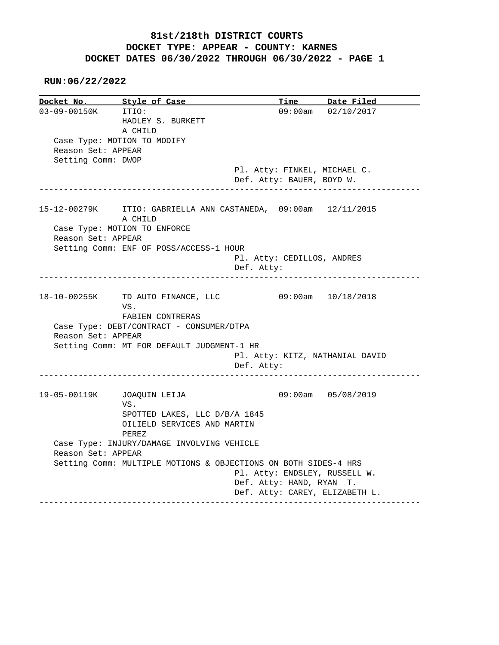## **81st/218th DISTRICT COURTS DOCKET TYPE: APPEAR - COUNTY: KARNES DOCKET DATES 06/30/2022 THROUGH 06/30/2022 - PAGE 1**

## **RUN:06/22/2022**

| Docket No.         | Style of Case                                                             |                                                           | Time Date Filed       |
|--------------------|---------------------------------------------------------------------------|-----------------------------------------------------------|-----------------------|
| 03-09-00150K ITIO: |                                                                           |                                                           | 09:00am 02/10/2017    |
|                    | HADLEY S. BURKETT                                                         |                                                           |                       |
|                    | A CHILD                                                                   |                                                           |                       |
|                    | Case Type: MOTION TO MODIFY                                               |                                                           |                       |
| Reason Set: APPEAR |                                                                           |                                                           |                       |
| Setting Comm: DWOP |                                                                           |                                                           |                       |
|                    |                                                                           | Pl. Atty: FINKEL, MICHAEL C.                              |                       |
|                    |                                                                           |                                                           |                       |
|                    |                                                                           | Def. Atty: BAUER, BOYD W.<br>_ _ _ _ _ _ _ _ _ _ _        |                       |
|                    | 15-12-00279K ITIO: GABRIELLA ANN CASTANEDA, 09:00am 12/11/2015<br>A CHILD |                                                           |                       |
|                    | Case Type: MOTION TO ENFORCE                                              |                                                           |                       |
| Reason Set: APPEAR |                                                                           |                                                           |                       |
|                    | Setting Comm: ENF OF POSS/ACCESS-1 HOUR                                   |                                                           |                       |
|                    |                                                                           | Pl. Atty: CEDILLOS, ANDRES                                |                       |
|                    |                                                                           | Def. Atty:                                                |                       |
|                    |                                                                           |                                                           | --------------------- |
|                    |                                                                           |                                                           |                       |
|                    | 18-10-00255K TD AUTO FINANCE, LLC                                         | $09:00$ am $10/18/2018$                                   |                       |
|                    | VS.                                                                       |                                                           |                       |
|                    | FABIEN CONTRERAS                                                          |                                                           |                       |
|                    | Case Type: DEBT/CONTRACT - CONSUMER/DTPA                                  |                                                           |                       |
| Reason Set: APPEAR |                                                                           |                                                           |                       |
|                    | Setting Comm: MT FOR DEFAULT JUDGMENT-1 HR                                |                                                           |                       |
|                    |                                                                           | Pl. Atty: KITZ, NATHANIAL DAVID                           |                       |
|                    |                                                                           | Def. Atty:                                                |                       |
|                    |                                                                           |                                                           |                       |
|                    | 19-05-00119K JOAQUIN LEIJA                                                |                                                           | 09:00am 05/08/2019    |
|                    | VS.                                                                       |                                                           |                       |
|                    | SPOTTED LAKES, LLC D/B/A 1845                                             |                                                           |                       |
|                    | OILIELD SERVICES AND MARTIN                                               |                                                           |                       |
|                    | PEREZ                                                                     |                                                           |                       |
|                    | Case Type: INJURY/DAMAGE INVOLVING VEHICLE                                |                                                           |                       |
| Reason Set: APPEAR |                                                                           |                                                           |                       |
|                    | Setting Comm: MULTIPLE MOTIONS & OBJECTIONS ON BOTH SIDES-4 HRS           | Pl. Atty: ENDSLEY, RUSSELL W.<br>Def. Atty: HAND, RYAN T. |                       |
|                    |                                                                           | Def. Atty: CAREY, ELIZABETH L.                            |                       |
|                    |                                                                           |                                                           |                       |